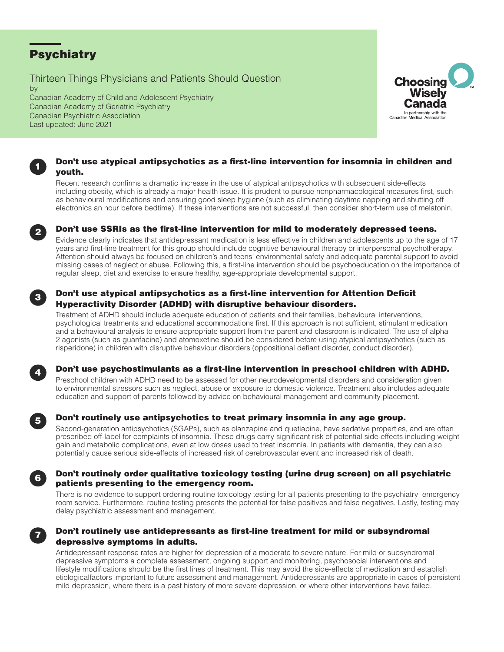# **Psychiatry**

Thirteen Things Physicians and Patients Should Question

by Canadian Academy of Child and Adolescent Psychiatry Canadian Academy of Geriatric Psychiatry Canadian Psychiatric Association Last updated: June 2021



## Don't use atypical antipsychotics as a first-line intervention for insomnia in children and youth.

Recent research confirms a dramatic increase in the use of atypical antipsychotics with subsequent side-effects including obesity, which is already a major health issue. It is prudent to pursue nonpharmacological measures first, such as behavioural modifications and ensuring good sleep hygiene (such as eliminating daytime napping and shutting off electronics an hour before bedtime). If these interventions are not successful, then consider short-term use of melatonin.



1

### Don't use SSRIs as the first-line intervention for mild to moderately depressed teens.

Evidence clearly indicates that antidepressant medication is less effective in children and adolescents up to the age of 17 years and first-line treatment for this group should include cognitive behavioural therapy or interpersonal psychotherapy. Attention should always be focused on children's and teens' environmental safety and adequate parental support to avoid missing cases of neglect or abuse. Following this, a first-line intervention should be psychoeducation on the importance of regular sleep, diet and exercise to ensure healthy, age-appropriate developmental support.



### Don't use atypical antipsychotics as a first-line intervention for Attention Deficit Hyperactivity Disorder (ADHD) with disruptive behaviour disorders.

Treatment of ADHD should include adequate education of patients and their families, behavioural interventions, psychological treatments and educational accommodations first. If this approach is not sufficient, stimulant medication and a behavioural analysis to ensure appropriate support from the parent and classroom is indicated. The use of alpha 2 agonists (such as guanfacine) and atomoxetine should be considered before using atypical antipsychotics (such as risperidone) in children with disruptive behaviour disorders (oppositional defiant disorder, conduct disorder).



### Don't use psychostimulants as a first-line intervention in preschool children with ADHD.

Preschool children with ADHD need to be assessed for other neurodevelopmental disorders and consideration given to environmental stressors such as neglect, abuse or exposure to domestic violence. Treatment also includes adequate education and support of parents followed by advice on behavioural management and community placement.



### Don't routinely use antipsychotics to treat primary insomnia in any age group.

Second-generation antipsychotics (SGAPs), such as olanzapine and quetiapine, have sedative properties, and are often prescribed off-label for complaints of insomnia. These drugs carry significant risk of potential side-effects including weight gain and metabolic complications, even at low doses used to treat insomnia. In patients with dementia, they can also potentially cause serious side-effects of increased risk of cerebrovascular event and increased risk of death.

### Don't routinely order qualitative toxicology testing (urine drug screen) on all psychiatric patients presenting to the emergency room.

There is no evidence to support ordering routine toxicology testing for all patients presenting to the psychiatry emergency room service. Furthermore, routine testing presents the potential for false positives and false negatives. Lastly, testing may delay psychiatric assessment and management.



6

### Don't routinely use antidepressants as first-line treatment for mild or subsyndromal depressive symptoms in adults.

Antidepressant response rates are higher for depression of a moderate to severe nature. For mild or subsyndromal depressive symptoms a complete assessment, ongoing support and monitoring, psychosocial interventions and lifestyle modifications should be the first lines of treatment. This may avoid the side-effects of medication and establish etiologicalfactors important to future assessment and management. Antidepressants are appropriate in cases of persistent mild depression, where there is a past history of more severe depression, or where other interventions have failed.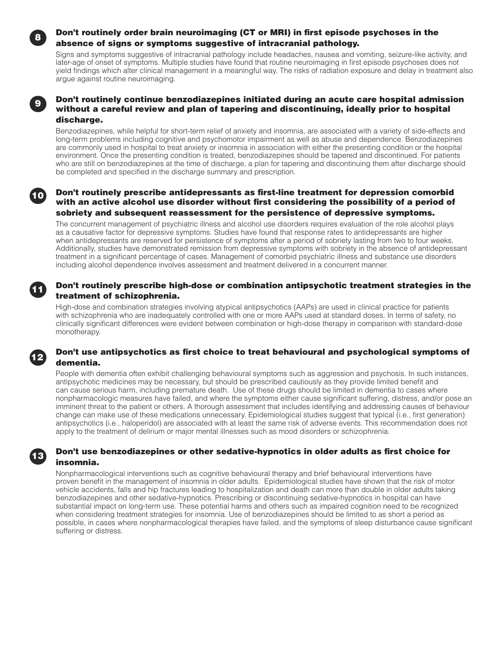### Don't routinely order brain neuroimaging (CT or MRI) in first episode psychoses in the absence of signs or symptoms suggestive of intracranial pathology.

Signs and symptoms suggestive of intracranial pathology include headaches, nausea and vomiting, seizure-like activity, and later-age of onset of symptoms. Multiple studies have found that routine neuroimaging in first episode psychoses does not yield findings which alter clinical management in a meaningful way. The risks of radiation exposure and delay in treatment also argue against routine neuroimaging.

### Don't routinely continue benzodiazepines initiated during an acute care hospital admission without a careful review and plan of tapering and discontinuing, ideally prior to hospital discharge.

Benzodiazepines, while helpful for short-term relief of anxiety and insomnia, are associated with a variety of side-effects and long-term problems including cognitive and psychomotor impairment as well as abuse and dependence. Benzodiazepines are commonly used in hospital to treat anxiety or insomnia in association with either the presenting condition or the hospital environment. Once the presenting condition is treated, benzodiazepines should be tapered and discontinued. For patients who are still on benzodiazepines at the time of discharge, a plan for tapering and discontinuing them after discharge should be completed and specified in the discharge summary and prescription.

#### Don't routinely prescribe antidepressants as first-line treatment for depression comorbid with an active alcohol use disorder without first considering the possibility of a period of sobriety and subsequent reassessment for the persistence of depressive symptoms. 10

The concurrent management of psychiatric illness and alcohol use disorders requires evaluation of the role alcohol plays as a causative factor for depressive symptoms. Studies have found that response rates to antidepressants are higher when antidepressants are reserved for persistence of symptoms after a period of sobriety lasting from two to four weeks. Additionally, studies have demonstrated remission from depressive symptoms with sobriety in the absence of antidepressant treatment in a significant percentage of cases. Management of comorbid psychiatric illness and substance use disorders including alcohol dependence involves assessment and treatment delivered in a concurrent manner.

### Don't routinely prescribe high-dose or combination antipsychotic treatment strategies in the treatment of schizophrenia.

High-dose and combination strategies involving atypical antipsychotics (AAPs) are used in clinical practice for patients with schizophrenia who are inadequately controlled with one or more AAPs used at standard doses. In terms of safety, no clinically significant differences were evident between combination or high-dose therapy in comparison with standard-dose monotherapy.

### Don't use antipsychotics as first choice to treat behavioural and psychological symptoms of dementia.

People with dementia often exhibit challenging behavioural symptoms such as aggression and psychosis. In such instances, antipsychotic medicines may be necessary, but should be prescribed cautiously as they provide limited benefit and can cause serious harm, including premature death. Use of these drugs should be limited in dementia to cases where nonpharmacologic measures have failed, and where the symptoms either cause significant suffering, distress, and/or pose an imminent threat to the patient or others. A thorough assessment that includes identifying and addressing causes of behaviour change can make use of these medications unnecessary. Epidemiological studies suggest that typical (i.e., first generation) antipsychotics (i.e., haloperidol) are associated with at least the same risk of adverse events. This recommendation does not apply to the treatment of delirium or major mental illnesses such as mood disorders or schizophrenia.

### Don't use benzodiazepines or other sedative-hypnotics in older adults as first choice for insomnia.

Nonpharmacological interventions such as cognitive behavioural therapy and brief behavioural interventions have proven benefit in the management of insomnia in older adults. Epidemiological studies have shown that the risk of motor vehicle accidents, falls and hip fractures leading to hospitalization and death can more than double in older adults taking benzodiazepines and other sedative-hypnotics. Prescribing or discontinuing sedative-hypnotics in hospital can have substantial impact on long-term use. These potential harms and others such as impaired cognition need to be recognized when considering treatment strategies for insomnia. Use of benzodiazepines should be limited to as short a period as possible, in cases where nonpharmacological therapies have failed, and the symptoms of sleep disturbance cause significant suffering or distress.



12

13

8

9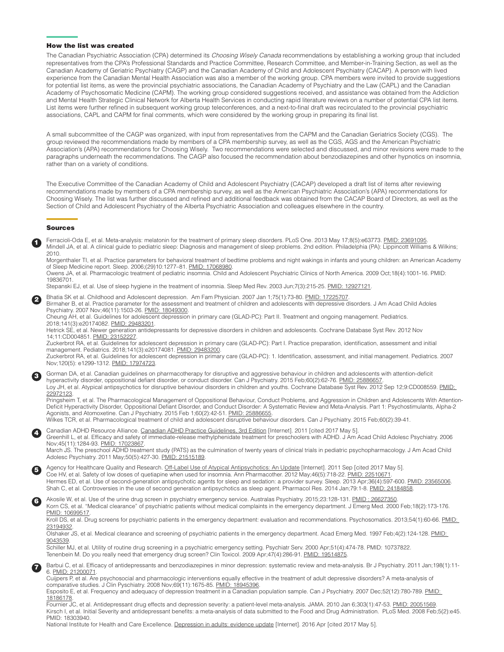#### How the list was created

The Canadian Psychiatric Association (CPA) determined its *Choosing Wisely Canada* recommendations by establishing a working group that included representatives from the CPA's Professional Standards and Practice Committee, Research Committee, and Member-in-Training Section, as well as the Canadian Academy of Geriatric Psychiatry (CAGP) and the Canadian Academy of Child and Adolescent Psychiatry (CACAP). A person with lived experience from the Canadian Mental Health Association was also a member of the working group. CPA members were invited to provide suggestions for potential list items, as were the provincial psychiatric associations, the Canadian Academy of Psychiatry and the Law (CAPL) and the Canadian Academy of Psychosomatic Medicine (CAPM). The working group considered suggestions received, and assistance was obtained from the Addiction and Mental Health Strategic Clinical Network for Alberta Health Services in conducting rapid literature reviews on a number of potential CPA list items. List items were further refined in subsequent working group teleconferences, and a next-to-final draft was recirculated to the provincial psychiatric associations, CAPL and CAPM for final comments, which were considered by the working group in preparing its final list.

A small subcommittee of the CAGP was organized, with input from representatives from the CAPM and the Canadian Geriatrics Society (CGS). The group reviewed the recommendations made by members of a CPA membership survey, as well as the CGS, AGS and the American Psychiatric Association's (APA) recommendations for Choosing Wisely. Two recommendations were selected and discussed, and minor revisions were made to the paragraphs underneath the recommendations. The CAGP also focused the recommendation about benzodiazepines and other hypnotics on insomnia, rather than on a variety of conditions.

The Executive Committee of the Canadian Academy of Child and Adolescent Psychiatry (CACAP) developed a draft list of items after reviewing recommendations made by members of a CPA membership survey, as well as the American Psychiatric Association's (APA) recommendations for Choosing Wisely. The list was further discussed and refined and additional feedback was obtained from the CACAP Board of Directors, as well as the Section of Child and Adolescent Psychiatry of the Alberta Psychiatric Association and colleagues elsewhere in the country.

#### Sources

1 Ferracioli-Oda E, et al. Meta-analysis: melatonin for the treatment of primary sleep disorders. PLoS One. 2013 May 17;8(5):e63773. [PMID: 23691095](https://www.ncbi.nlm.nih.gov/pubmed/23691095). Mindell JA, et al. A clinical guide to pediatric sleep: Diagnosis and management of sleep problems. 2nd edition. Philadelphia (PA): Lippincott Williams & Wilkins; 2010.

Morgenthaler TI, et al. Practice parameters for behavioral treatment of bedtime problems and night wakings in infants and young children: an American Academy of Sleep Medicine report. Sleep. 2006;(29)10:1277–81. [PMID: 17068980.](https://www.ncbi.nlm.nih.gov/pubmed/17068980)

Owens JA, et al. Pharmacologic treatment of pediatric insomnia. Child and Adolescent Psychiatric Clinics of North America. 2009 Oct;18(4):1001-16. [PMID:](https://www.ncbi.nlm.nih.gov/pubmed/19836701)  [19836701.](https://www.ncbi.nlm.nih.gov/pubmed/19836701)

Stepanski EJ, et al. Use of sleep hygiene in the treatment of insomnia. Sleep Med Rev. 2003 Jun;7(3):215-25. [PMID: 12927121](https://www.ncbi.nlm.nih.gov/pubmed/12927121)

2 Bhatia SK et al. Childhood and Adolescent depression. Am Fam Physician. 2007 Jan 1;75(1):73-80. [PMID: 17225707](https://www.ncbi.nlm.nih.gov/pubmed/17225707)

Birmaher B, et al. Practice parameter for the assessment and treatment of children and adolescents with depressive disorders. J Am Acad Child Adoles Psychiatry. 2007 Nov;46(11):1503-26. [PMID: 18049300.](https://www.ncbi.nlm.nih.gov/pubmed/18049300)

Cheung AH, et al. Guidelines for adolescent depression in primary care (GLAD-PC): Part II. Treatment and ongoing management. Pediatrics. 2018;141(3):e20174082. [PMID: 29483201](https://pubmed.ncbi.nlm.nih.gov/29483201).

Hetrick SE, et al. Newer generation antidepressants for depressive disorders in children and adolescents. Cochrane Database Syst Rev. 2012 Nov 14;11:CD004851. [PMID: 23152227](https://www.ncbi.nlm.nih.gov/pubmed/23152227).

Zuckerbrot RA, et al. Guidelines for adolescent depression in primary care (GLAD-PC): Part I. Practice preparation, identification, assessment and initial management. Pediatrics. 2018;141(3):e20174081. [PMID: 29483200](https://pubmed.ncbi.nlm.nih.gov/29483200).

Zuckerbrot RA, et al. Guidelines for adolescent depression in primary care (GLAD-PC): 1. Identification, assessment, and initial management. Pediatrics. 2007 Nov;120(5): e1299-1312. [PMID: 17974723](https://www.ncbi.nlm.nih.gov/pubmed/17974723).

Gorman DA, et al. Canadian guidelines on pharmacotherapy for disruptive and aggressive behaviour in children and adolescents with attention-deficit hyperactivity disorder, oppositional defiant disorder, or conduct disorder. Can J Psychiatry. 2015 Feb;60(2):62-76. [PMID: 25886657](https://www.ncbi.nlm.nih.gov/pubmed/25886657) Loy JH, et al. Atypical antipsychotics for disruptive behaviour disorders in children and youths. Cochrane Database Syst Rev. 2012 Sep 12;9:CD008559. PMID: [22972123.](https://www.ncbi.nlm.nih.gov/pubmed/22972123)

Pringsheim T, et al. The Pharmacological Management of Oppositional Behaviour, Conduct Problems, and Aggression in Children and Adolescents With Attention-Deficit Hyperactivity Disorder, Oppositional Defiant Disorder, and Conduct Disorder: A Systematic Review and Meta-Analysis. Part 1: Psychostimulants, Alpha-2 Agonists, and Atomoxetine. Can J Psychiatry. 2015 Feb 1;60(2):42-51. [PMID: 25886655.](https://www.ncbi.nlm.nih.gov/pubmed/25886655)

Wilkes TCR, et al. Pharmacological treatment of child and adolescent disruptive behaviour disorders. Can J Psychiatry. 2015 Feb;60(2):39-41.

Canadian ADHD Resource Alliance. [Canadian ADHD Practice Guidelines, 3rd Edition](www.caddra.ca) [Internet]. 2011 [cited 2017 May 5].<br>Greenhill L, et al. Efficacy and safety of immediate-release methylphenidate treatment for preschoolers w Nov;45(11):1284-93. [PMID: 17023867.](https://www.ncbi.nlm.nih.gov/pubmed/17023867)

March JS. The preschool ADHD treatment study (PATS) as the culmination of twenty years of clinical trials in pediatric psychopharmacology. J Am Acad Child Adolesc Psychiatry. 2011 May;50(5):427-30. [PMID: 21515189](https://www.ncbi.nlm.nih.gov/pubmed/21515189).

Agency for Healthcare Quality and Research. [Off-Label Use of Atypical Antipsychotics: An Update](http://effectivehealthcare.ahrq.gov/ehc/products/150/778/CER43_Off-labelAntipsychotics_20110928.pdf) [Internet]. 2011 Sep [cited 2017 May 5]. Coe HV, et al. Safety of low doses of quetiapine when used for insomnia. Ann Pharmacother. 2012 May;46(5):718-22. [PMID: 22510671.](https://www.ncbi.nlm.nih.gov/pubmed/22510671) Hermes ED, et al. Use of second-generation antipsychotic agents for sleep and sedation: a provider survey. Sleep. 2013 Apr;36(4):597-600. [PMID: 23565006.](https://www.ncbi.nlm.nih.gov/pubmed/23565006) Shah C, et al. Controversies in the use of second generation antipsychotics as sleep agent. Pharmacol Res. 2014 Jan;79:1-8. [PMID: 24184858.](https://www.ncbi.nlm.nih.gov/pubmed/24184858)

Akosile W, et al. Use of the urine drug screen in psychiatry emergency service. Australas Psychiatry. 2015;23:128-131. PMID: 26627350. Korn CS, et al. "Medical clearance" of psychiatric patients without medical complaints in the emergency department. J Emerg Med. 2000 Feb;18(2):173-176. PMID: 10699517

Kroll DS, et al. Drug screens for psychiatric patients in the emergency department: evaluation and recommendations. Psychosomatics. 2013;54(1):60-66. [PMID:](https://pubmed.ncbi.nlm.nih.gov/23194932/)  [23194932.](https://pubmed.ncbi.nlm.nih.gov/23194932/)

Olshaker JS, et al. Medical clearance and screening of psychiatric patients in the emergency department. Acad Emerg Med. 1997 Feb;4(2):124-128. PMID: [9043539.](https://www.ncbi.nlm.nih.gov/pubmed/9043539)

Schiller MJ, et al. Utility of routine drug screening in a psychiatric emergency setting. Psychiatr Serv. 2000 Apr;51(4):474-78. [PMID: 10737822.](https://www.ncbi.nlm.nih.gov/pubmed/10737822) Tenenbein M. Do you really need that emergency drug screen? Clin Toxicol. 2009 Apr;47(4):286-91. [PMID: 19514875](https://www.ncbi.nlm.nih.gov/pubmed/19514875%20).

Barbui C, et al. Efficacy of antidepressants and benzodiazepines in minor depression: systematic review and meta-analysis. Br J Psychiatry. 2011 Jan;198(1):11-6. [PMID: 21200071](https://www.ncbi.nlm.nih.gov/pubmed/21200071).

Cuijpers P, et al. Are psychosocial and pharmacologic interventions equally effective in the treatment of adult depressive disorders? A meta-analysis of comparative studies. J Clin Pyschiatry. 2008 Nov;69(11):1675-85. [PMID: 18945396.](https://www.ncbi.nlm.nih.gov/pubmed/18945396)

Esposito E, et al. Frequency and adequacy of depression treatment in a Canadian population sample. Can J Psychiatry. 2007 Dec;52(12):780-789. [PMID:](https://www.ncbi.nlm.nih.gov/pubmed/18186178)  [18186178.](https://www.ncbi.nlm.nih.gov/pubmed/18186178)

Fournier JC, et al. Antidepressant drug effects and depression severity: a patient-level meta-analysis. JAMA. 2010 Jan 6;303(1):47-53. [PMID: 20051569.](https://www.ncbi.nlm.nih.gov/pubmed/20051569) Kirsch I, et al. Initial Severity and antidepressant benefits: a meta-analysis of data submitted to the Food and Drug Administration. PLoS Med. 2008 Feb;5(2):e45. [PMID: 18303940.](https://www.ncbi.nlm.nih.gov/pubmed/18303940)

National Institute for Health and Care Excellence. [Depression in adults: evidence update](https://www.nice.org.uk/guidance/cg90/evidence) [Internet]. 2016 Apr [cited 2017 May 5].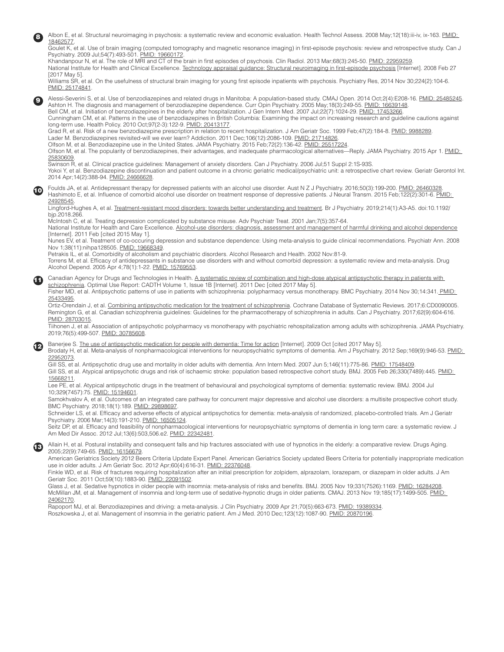| ❸  | Albon E, et al. Structural neuroimaging in psychosis: a systematic review and economic evaluation. Health Technol Assess. 2008 May; 12(18):iii-iv, ix-163. PMID:<br>18462577.<br>Goulet K, et al. Use of brain imaging (computed tomography and magnetic resonance imaging) in first-episode psychosis: review and retrospective study. Can J<br>Psychiatry. 2009 Jul:54(7):493-501. PMID: 19660172.<br>Khandanpour N, et al. The role of MRI and CT of the brain in first episodes of psychosis. Clin Radiol. 2013 Mar;68(3):245-50. PMID: 22959259.<br>National Institute for Health and Clinical Excellence. Technology appraisal quidance: Structural neuroimaging in first-episode psychosis [Internet]. 2008 Feb 27<br>[2017 May 5].<br>Williams SR, et al. On the usefulness of structural brain imaging for young first episode inpatients with psychosis. Psychiatry Res, 2014 Nov 30;224(2):104-6.<br>PMID: 25174841.                                                                                                                                                                                                                                                                                                                                                                                                                                                                                                                                                                                                                                                                                                    |
|----|------------------------------------------------------------------------------------------------------------------------------------------------------------------------------------------------------------------------------------------------------------------------------------------------------------------------------------------------------------------------------------------------------------------------------------------------------------------------------------------------------------------------------------------------------------------------------------------------------------------------------------------------------------------------------------------------------------------------------------------------------------------------------------------------------------------------------------------------------------------------------------------------------------------------------------------------------------------------------------------------------------------------------------------------------------------------------------------------------------------------------------------------------------------------------------------------------------------------------------------------------------------------------------------------------------------------------------------------------------------------------------------------------------------------------------------------------------------------------------------------------------------------------------------------------------------------------------------------------------------------------------|
| Θ  | Alessi-Severini S, et al. Use of benzodiazepines and related drugs in Manitoba: A population-based study. CMAJ Open. 2014 Oct;2(4):E208-16. PMID: 25485245<br>Ashton H. The diagnosis and management of benzodiazepine dependence. Curr Opin Psychiatry. 2005 May; 18(3):249-55. PMID: 16639148.<br>Bell CM, et al. Initiation of benzodiazepines in the elderly after hospitalization. J Gen Intern Med. 2007 Jul;22(7):1024-29. PMID: 17453266.<br>Cunningham CM, et al. Patterns in the use of benzodiazepines in British Columbia: Examining the impact on increasing research and guideline cautions against<br>long-term use. Health Policy. 2010 Oct: 97(2-3): 122-9. PMID: 20413177.<br>Grad R, et al. Risk of a new benzodiazepine prescription in relation to recent hospitalization. J Am Geriatr Soc. 1999 Feb:47(2):184-8, PMID: 9988289,<br>Lader M. Benzodiazepines revisited-will we ever learn? Addiction. 2011 Dec;106(12):2086-109. PMID: 21714826.<br>Olfson M, et al. Benzodiazepine use in the United States. JAMA Psychiatry. 2015 Feb; 72(2): 136-42. PMID: 25517224.<br>Olfson M, et al. The popularity of benzodiazepines, their advantages, and inadequate pharmacological alternatives—Reply. JAMA Psychiatry. 2015 Apr 1. PMID:<br>25830609.<br>Swinson R, et al. Clinical practice guidelines: Management of anxiety disorders. Can J Psychiatry. 2006 Jul;51 Suppl 2:1S-93S.<br>Yokoi Y, et al. Benzodiazepine discontinuation and patient outcome in a chronic geriatric medical/psychiatric unit: a retrospective chart review. Geriatr Gerontol Int.<br>2014 Apr; 14(2): 388-94. PMID: 24666628. |
| 10 | Foulds JA, et al. Antidepressant therapy for depressed patients with an alcohol use disorder. Aust N Z J Psychiatry. 2016;50(3):199-200. PMID: 26460328.<br>Hashimoto E, et al. Influence of comorbid alcohol use disorder on treatment response of depressive patients. J Neural Transm. 2015 Feb;122(2):301-6. PMID:<br>24928545.<br>Lingford-Hughes A, et al. Treatment-resistant mood disorders: towards better understanding and treatment. Br J Psychiatry. 2019;214(1):A3-A5. doi:10.1192/<br>bip.2018.266.<br>McIntosh C, et al. Treating depression complicated by substance misuse. Adv Psychiatr Treat. 2001 Jan;7(5):357-64.<br>National Institute for Health and Care Excellence. Alcohol-use disorders: diagnosis, assessment and management of harmful drinking and alcohol dependence<br>[Internet]. 2011 Feb [cited 2015 May 1].<br>Nunes EV, et al. Treatment of co-occuring depression and substance dependence: Using meta-analysis to guide clinical recommendations. Psychiatr Ann. 2008<br>Nov 1;38(11):nihpa128505. PMID: 19668349.<br>Petrakis IL, et al. Comorbidity of alcoholism and psychiatric disorders. Alcohol Research and Health. 2002 Nov:81-9.<br>Torrens M, et al. Efficacy of antidepressants in substance use disorders with and without comorbid depression: a systematic review and meta-analysis. Drug<br>Alcohol Depend. 2005 Apr 4;78(1):1-22. PMID: 15769553.                                                                                                                                                                                                                        |
| Œ  | Canadian Agency for Drugs and Technologies in Health. A systematic review of combination and high-dose atypical antipsychotic therapy in patients with<br>schizophrenia. Optimal Use Report: CADTH Volume 1, Issue 1B [Internet]. 2011 Dec [cited 2017 May 5].<br>Fisher MD, et al. Antipsychotic patterns of use in patients with schizophrenia: polypharmacy versus monotherapy. BMC Psychiatry. 2014 Nov 30;14:341. PMID:<br>25433495.<br>Ortiz-Orendain J, et al. Combining antipsychotic medication for the treatment of schizophrenia. Cochrane Database of Systematic Reviews. 2017;6:CD0090005.<br>Remington G, et al. Canadian schizophrenia guidelines: Guidelines for the pharmacotherapy of schizophrenia in adults. Can J Psychiatry. 2017;62(9):604-616.<br>PMID: 28703015.<br>Tiihonen J, et al. Association of antipsychotic polypharmacy vs monotherapy with psychiatric rehospitalization among adults with schizophrenia. JAMA Psychiatry.<br>2019;76(5):499-507. PMID: 30785608                                                                                                                                                                                                                                                                                                                                                                                                                                                                                                                                                                                                                                |
| B  | Banerjee S. The use of antipsychotic medication for people with dementia: Time for action [Internet]. 2009 Oct [cited 2017 May 5].<br>Brodaty H, et al. Meta-analysis of nonpharmacological interventions for neuropsychiatric symptoms of dementia. Am J Psychiatry. 2012 Sep; 169(9):946-53. PMID:<br>22952073.<br>Gill SS, et al. Antipsychotic drug use and mortality in older adults with dementia. Ann Intern Med. 2007 Jun 5;146(11):775-86. PMID: 17548409.<br>Gill SS, et al. Atypical antipsychotic drugs and risk of ischaemic stroke: population based retrospective cohort study. BMJ. 2005 Feb 26:330(7489):445. PMID:<br>15668211.<br>Lee PE, et al. Atypical antipsychotic drugs in the treatment of behavioural and psychological symptoms of dementia: systematic review. BMJ. 2004 Jul<br>10;329(7457):75. PMID: 15194601.<br>Samokhvalov A, et al. Outcomes of an integrated care pathway for concurrent major depressive and alcohol use disorders: a multisite prospective cohort study.<br>BMC Psychiatry. 2018;18(1):189. PMID: 29898697.<br>Schneider LS, et al. Efficacy and adverse effects of atypical antipsychotics for dementia: meta-analysis of randomized, placebo-controlled trials. Am J Geriatr<br>Psychiatry. 2006 Mar; 14(3): 191-210. PMID: 16505124.<br>Seitz DP, et al. Efficacy and feasibility of nonpharmacological interventions for neuropsychiatric symptoms of dementia in long term care: a systematic review. J<br>Am Med Dir Assoc. 2012 Jul; 13(6):503,506.e2. PMID: 22342481.                                                                                                |
| ®  | Allain H, et al. Postural instability and consequent falls and hip fractures associated with use of hypnotics in the elderly: a comparative review. Drugs Aging.<br>2005;22(9):749-65. PMID: 16156679.<br>American Geriatrics Society 2012 Beers Criteria Update Expert Panel. American Geriatrics Society updated Beers Criteria for potentially inappropriate medication<br>use in older adults. J Am Geriatr Soc. 2012 Apr;60(4):616-31. PMID: 22376048.<br>Finkle WD, et al. Risk of fractures requiring hospitalization after an initial prescription for zolpidem, alprazolam, lorazepam, or diazepam in older adults. J Am<br>Geriatr Soc. 2011 Oct;59(10):1883-90. PMID: 22091502.<br>Glass J, et al. Sedative hypnotics in older people with insomnia: meta-analysis of risks and benefits. BMJ. 2005 Nov 19;331(7526):1169. PMID: 16284208.<br>McMillan JM, et al. Management of insomnia and long-term use of sedative-hypnotic drugs in older patients. CMAJ. 2013 Nov 19;185(17):1499-505. PMID:<br>24062170.<br>Rapoport MJ, et al. Benzodiazepines and driving: a meta-analysis. J Clin Psychiatry. 2009 Apr 21;70(5):663-673. PMID: 19389334.<br>Roszkowska J, et al. Management of insomnia in the geriatric patient. Am J Med. 2010 Dec;123(12):1087-90. PMID: 20870196.                                                                                                                                                                                                                                                                                                                                         |